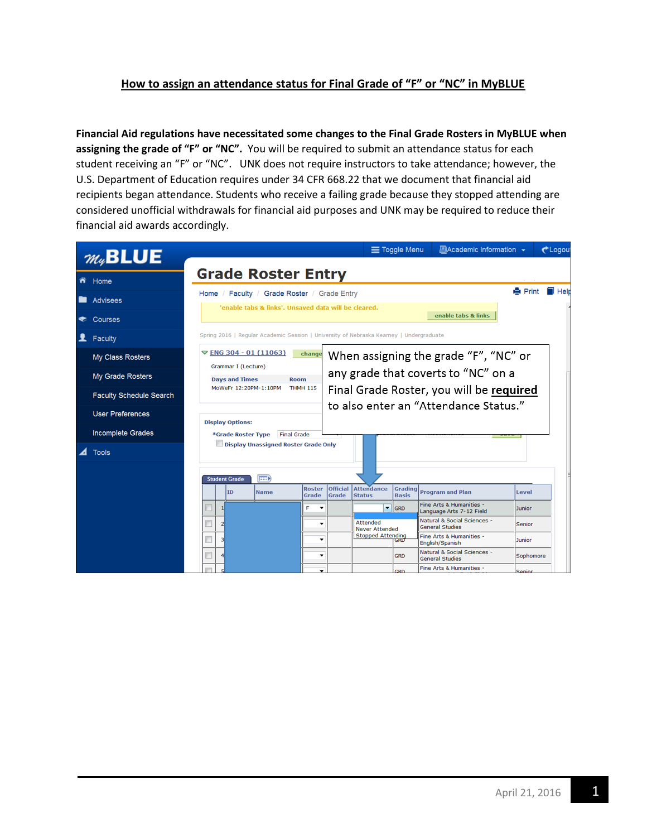## **How to assign an attendance status for Final Grade of "F" or "NC" in MyBLUE**

**Financial Aid regulations have necessitated some changes to the Final Grade Rosters in MyBLUE when assigning the grade of "F" or "NC".** You will be required to submit an attendance status for each student receiving an "F" or "NC". UNK does not require instructors to take attendance; however, the U.S. Department of Education requires under 34 CFR 668.22 that we document that financial aid recipients began attendance. Students who receive a failing grade because they stopped attending are considered unofficial withdrawals for financial aid purposes and UNK may be required to reduce their financial aid awards accordingly.

|                                |                                                                                                  |                                                                     |                      |                                                                                         |                        |                                                                                                                          |                                    | $\equiv$ Toggle Menu           | ■Academic Information –                               |  |                | $t$ Logou           |  |  |  |
|--------------------------------|--------------------------------------------------------------------------------------------------|---------------------------------------------------------------------|----------------------|-----------------------------------------------------------------------------------------|------------------------|--------------------------------------------------------------------------------------------------------------------------|------------------------------------|--------------------------------|-------------------------------------------------------|--|----------------|---------------------|--|--|--|
| $m_{4}$ BLUE                   |                                                                                                  |                                                                     |                      | <b>Grade Roster Entry</b>                                                               |                        |                                                                                                                          |                                    |                                |                                                       |  |                |                     |  |  |  |
| n Home                         |                                                                                                  |                                                                     |                      |                                                                                         |                        |                                                                                                                          |                                    |                                |                                                       |  |                |                     |  |  |  |
| <b>Advisees</b>                |                                                                                                  |                                                                     |                      | Home / Faculty / Grade Roster / Grade Entry                                             |                        |                                                                                                                          |                                    |                                |                                                       |  | <b>A</b> Print | $\blacksquare$ Helt |  |  |  |
| Courses                        | 'enable tabs & links'. Unsaved data will be cleared.<br>enable tabs & links                      |                                                                     |                      |                                                                                         |                        |                                                                                                                          |                                    |                                |                                                       |  |                |                     |  |  |  |
| Faculty                        |                                                                                                  |                                                                     |                      | Spring 2016   Regular Academic Session   University of Nebraska Kearney   Undergraduate |                        |                                                                                                                          |                                    |                                |                                                       |  |                |                     |  |  |  |
| My Class Rosters               |                                                                                                  |                                                                     |                      | $\triangledown$ ENG 304 - 01 (11063)                                                    | change                 |                                                                                                                          |                                    |                                | When assigning the grade "F", "NC" or                 |  |                |                     |  |  |  |
| My Grade Rosters               | Grammar I (Lecture)<br><b>Days and Times</b><br>Room<br>MoWeFr 12:20PM-1:10PM<br><b>THMH 115</b> |                                                                     |                      |                                                                                         |                        | any grade that coverts to "NC" on a<br>Final Grade Roster, you will be required<br>to also enter an "Attendance Status." |                                    |                                |                                                       |  |                |                     |  |  |  |
| <b>Faculty Schedule Search</b> |                                                                                                  |                                                                     |                      |                                                                                         |                        |                                                                                                                          |                                    |                                |                                                       |  |                |                     |  |  |  |
| <b>User Preferences</b>        |                                                                                                  |                                                                     |                      |                                                                                         |                        |                                                                                                                          |                                    |                                |                                                       |  |                |                     |  |  |  |
| <b>Incomplete Grades</b>       |                                                                                                  | <b>Display Options:</b><br>*Grade Roster Type<br><b>Final Grade</b> |                      |                                                                                         |                        |                                                                                                                          |                                    |                                |                                                       |  |                |                     |  |  |  |
| <b>Tools</b>                   |                                                                                                  |                                                                     |                      | <b>Display Unassigned Roster Grade Only</b>                                             |                        |                                                                                                                          |                                    |                                |                                                       |  |                |                     |  |  |  |
|                                |                                                                                                  |                                                                     | <b>Student Grade</b> | <b>EED</b>                                                                              |                        |                                                                                                                          |                                    |                                |                                                       |  |                |                     |  |  |  |
|                                |                                                                                                  |                                                                     | ID                   | <b>Name</b>                                                                             | <b>Roster</b><br>Grade | <b>Official</b><br>Grade                                                                                                 | <b>Attendance</b><br><b>Status</b> | <b>Grading</b><br><b>Basis</b> | <b>Program and Plan</b>                               |  | Level          |                     |  |  |  |
|                                |                                                                                                  |                                                                     |                      |                                                                                         | F<br>٠                 |                                                                                                                          |                                    | $\blacktriangledown$ GRD       | Fine Arts & Humanities -<br>Language Arts 7-12 Field  |  | <b>Junior</b>  |                     |  |  |  |
|                                |                                                                                                  | $\overline{2}$                                                      |                      |                                                                                         | ۰                      |                                                                                                                          | Attended<br><b>Never Attended</b>  |                                | Natural & Social Sciences -<br><b>General Studies</b> |  | Senior         |                     |  |  |  |
|                                |                                                                                                  |                                                                     |                      |                                                                                         | ٠                      |                                                                                                                          | <b>Stopped Attending</b>           | GRID                           | Fine Arts & Humanities -<br>English/Spanish           |  | Junior         |                     |  |  |  |
|                                |                                                                                                  |                                                                     |                      |                                                                                         | ٠                      |                                                                                                                          |                                    | <b>GRD</b>                     | Natural & Social Sciences -<br><b>General Studies</b> |  | Sophomore      |                     |  |  |  |
|                                |                                                                                                  |                                                                     |                      |                                                                                         |                        |                                                                                                                          |                                    | <b>CPD</b>                     | Fine Arts & Humanities -                              |  | Conior         |                     |  |  |  |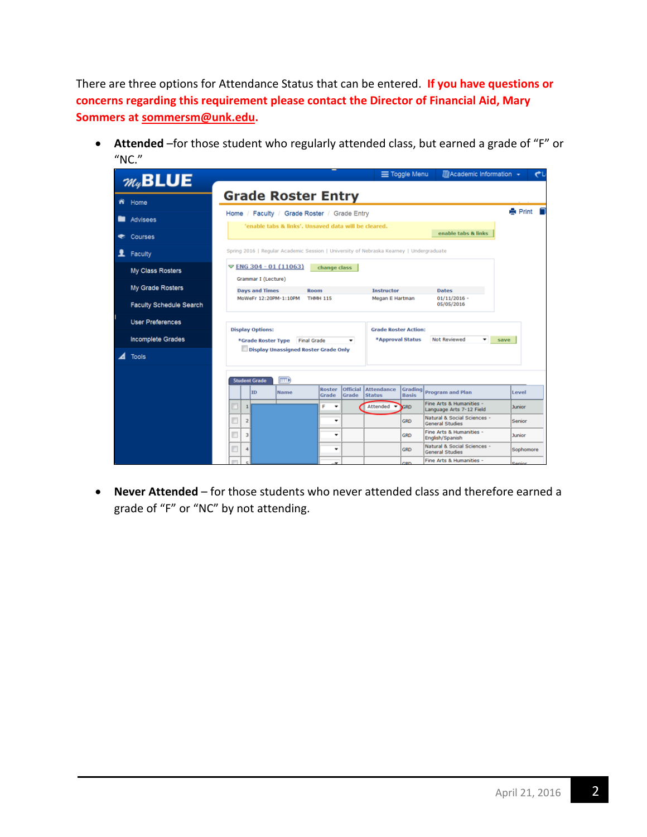There are three options for Attendance Status that can be entered. **If you have questions or concerns regarding this requirement please contact the Director of Financial Aid, Mary Sommers at [sommersm@unk.edu.](mailto:sommersm@unk.edu)**

 **Attended** –for those student who regularly attended class, but earned a grade of "F" or  $"NC."$ 

|   | $m_{4}$ <b>BLUE</b>            | ■Academic Information +<br>Toggle Menu                                                                                                                              |                |
|---|--------------------------------|---------------------------------------------------------------------------------------------------------------------------------------------------------------------|----------------|
| m | Home                           | <b>Grade Roster Entry</b>                                                                                                                                           |                |
|   | <b>Advisees</b>                | Home / Faculty / Grade Roster / Grade Entry                                                                                                                         | <b>A</b> Print |
|   | Courses                        | 'enable tabs & links', Unsaved data will be cleared,<br>enable tabs & links                                                                                         |                |
|   | Faculty                        | Spring 2016   Regular Academic Session   University of Nebraska Kearney   Undergraduate                                                                             |                |
|   | My Class Rosters               | $\triangledown$ ENG 304 - 01 (11063)<br>change class                                                                                                                |                |
|   | My Grade Rosters               | Grammar I (Lecture)<br><b>Days and Times</b><br>Room<br><b>Instructor</b><br><b>Dates</b>                                                                           |                |
|   | <b>Faculty Schedule Search</b> | MoWeFr 12:20PM-1:10PM<br>THMH 115<br>$01/11/2016$ -<br>Megan E Hartman<br>05/05/2016                                                                                |                |
|   | <b>User Preferences</b>        | <b>Display Options:</b><br><b>Grade Roster Action:</b>                                                                                                              |                |
|   | <b>Incomplete Grades</b>       | *Approval Status<br>Not Reviewed<br>*Grade Roster Type<br><b>Final Grade</b>                                                                                        | save           |
|   | Tools                          | Display Unassigned Roster Grade Only                                                                                                                                |                |
|   |                                | $\overline{m}$<br><b>Student Grade</b>                                                                                                                              |                |
|   |                                | <b>Official</b><br><b>Attendance</b><br>Grading<br><b>Roster</b><br><b>Program and Plan</b><br><b>ID</b><br>Name<br>Grade<br><b>Status</b><br><b>Basis</b><br>Grade | Level          |
|   |                                | Fine Arts & Humanities -<br>F<br>Attended<br>$\mathbf{1}$<br>۰<br><b>GRD</b><br>Language Arts 7-12 Field                                                            | <b>Junior</b>  |
|   |                                | Natural & Social Sciences -<br>$\overline{2}$<br>۰<br><b>GRD</b><br><b>General Studies</b>                                                                          | Senior         |
|   |                                | Fine Arts & Humanities -<br>$\overline{\mathbf{3}}$<br>٠<br><b>GRD</b><br>English/Spanish                                                                           | <b>Junior</b>  |
|   |                                | Natural & Social Sciences -<br>4<br>٠<br><b>GRD</b><br><b>General Studies</b>                                                                                       | Sophomore      |
|   |                                | Fine Arts & Humanities -<br>con                                                                                                                                     | Conine         |

 **Never Attended** – for those students who never attended class and therefore earned a grade of "F" or "NC" by not attending.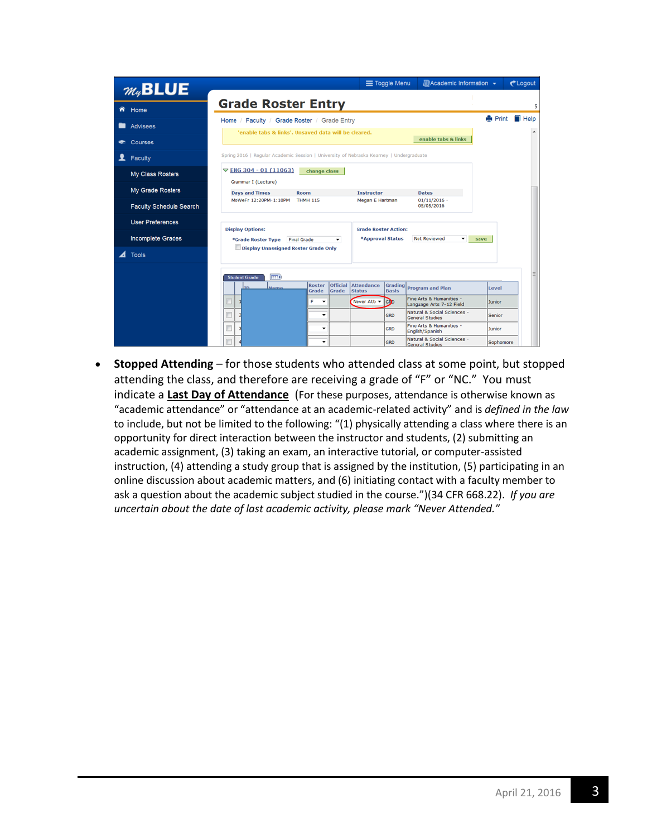| $m_{4}$ <b>BLUE</b> |                                |                                                                                                        |                          | Toggle Menu                        |            | ■Academic Information ▼                               |                | <b>CLogout</b>      |
|---------------------|--------------------------------|--------------------------------------------------------------------------------------------------------|--------------------------|------------------------------------|------------|-------------------------------------------------------|----------------|---------------------|
|                     | Home                           | <b>Grade Roster Entry</b>                                                                              |                          |                                    |            |                                                       |                | 5                   |
|                     | Advisees                       | Faculty / Grade Roster / Grade Entry<br>Home /<br>'enable tabs & links'. Unsaved data will be cleared. |                          |                                    |            |                                                       | <b>A</b> Print | $\blacksquare$ Help |
|                     | Courses                        |                                                                                                        |                          |                                    |            | enable tabs & links                                   |                |                     |
|                     | Faculty                        | Spring 2016   Regular Academic Session   University of Nebraska Kearney   Undergraduate                |                          |                                    |            |                                                       |                |                     |
|                     | My Class Rosters               | $\nabla$ ENG 304 - 01 (11063)<br>Grammar I (Lecture)                                                   | change class             |                                    |            |                                                       |                |                     |
|                     | My Grade Rosters               | <b>Days and Times</b><br><b>Room</b>                                                                   |                          | <b>Instructor</b>                  |            | <b>Dates</b>                                          |                |                     |
|                     | <b>Faculty Schedule Search</b> | MoWeFr 12:20PM-1:10PM<br><b>THMH 115</b>                                                               |                          | Megan E Hartman                    |            | $01/11/2016 -$<br>05/05/2016                          |                |                     |
|                     | <b>User Preferences</b>        | <b>Display Options:</b>                                                                                |                          | <b>Grade Roster Action:</b>        |            |                                                       |                |                     |
|                     | Incomplete Grades              | <b>Final Grade</b><br>*Grade Roster Type                                                               | Not Reviewed             | save                               |            |                                                       |                |                     |
|                     | <b>Tools</b>                   | Display Unassigned Roster Grade Only                                                                   |                          |                                    |            |                                                       |                |                     |
|                     |                                | <b>FEED</b><br><b>Student Grade</b><br>Roster<br>m<br><b>Namo</b><br>Grade                             | Official<br>Grade        | <b>Attendance</b><br><b>Status</b> |            | Grading Program and Plan                              | Level          |                     |
|                     |                                | c                                                                                                      |                          | Never Att -                        | GRO        | Fine Arts & Humanities -<br>Language Arts 7-12 Field  | Junior         |                     |
|                     |                                | E                                                                                                      | $\overline{\phantom{a}}$ |                                    | <b>GRD</b> | Natural & Social Sciences -<br><b>General Studies</b> | Senior         |                     |
|                     |                                | n                                                                                                      | ۰                        |                                    | <b>GRD</b> | Fine Arts & Humanities -<br>English/Spanish           | Junior         |                     |
|                     |                                |                                                                                                        | ٠                        |                                    | <b>GRD</b> | Natural & Social Sciences -<br><b>General Studies</b> | Sophomore      |                     |

 **Stopped Attending** – for those students who attended class at some point, but stopped attending the class, and therefore are receiving a grade of "F" or "NC." You must indicate a **Last Day of Attendance** (For these purposes, attendance is otherwise known as "academic attendance" or "attendance at an academic-related activity" and is *defined in the law* to include, but not be limited to the following: "(1) physically attending a class where there is an opportunity for direct interaction between the instructor and students, (2) submitting an academic assignment, (3) taking an exam, an interactive tutorial, or computer-assisted instruction, (4) attending a study group that is assigned by the institution, (5) participating in an online discussion about academic matters, and (6) initiating contact with a faculty member to ask a question about the academic subject studied in the course.")(34 CFR 668.22). *If you are uncertain about the date of last academic activity, please mark "Never Attended."*